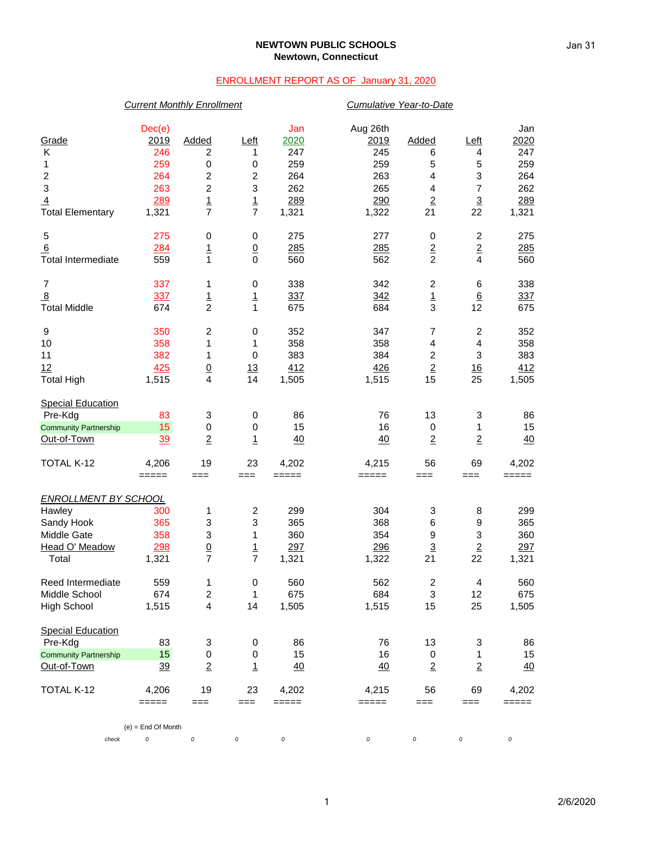#### **NEWTOWN PUBLIC SCHOOLS Newtown, Connecticut**

### ENROLLMENT REPORT AS OF January 31, 2020

# *Current Monthly Enrollment Cumulative Year-to-Date* Dec(e) Jan Aug 26th Jan Grade 2019 Added Left 2020 2019 Added Left 2020 K 246 2 1 247 245 6 4 247 1 259 0 0 259 259 5 5 259 2 264 2 2 264 263 4 3 264 3 263 2 3 262 265 4 7 262 <u>4</u> 289 1 289 289 290 2 3 289 Total Elementary 1,321 7 7 1,321 1,322 21 22 1,321 5 275 0 0 275 277 0 2 275 6 284 1 0 285 285 2 2 285 Total Intermediate 559 1 0 560 562 2 4 560 7 337 1 0 338 342 2 6 338 <u>8 337 1 337 342 1 6 337</u> Total Middle 674 2 1 675 684 3 12 675 9 350 2 0 352 347 7 2 352 10 358 1 1 358 358 4 4 358 11 382 1 0 383 384 2 3 383 <u>12 425 0 13 412 426 2 16 412</u> Total High 1,515 4 14 1,505 1,515 15 25 1,505 **Special Education**  Pre-Kdg 83 3 0 86 76 13 3 86 <u>Community Partnership 15</u> 0 0 15 16 0 1 15<br>
<u>Out-of-Town 39 2 1 40 40 2 2 40</u> Out-of-Town 39 2 1 40 40 2 2 40 TOTAL K-12 4,206 19 23 4,202 4,215 56 69 4,202 ===== === === ===== ===== === === ===== *ENROLLMENT BY SCHOOL* Hawley 300 1 2 299 304 3 8 299 Sandy Hook 365 3 3 365 368 6 9 365 Middle Gate 358 3 1 360 354 9 3 360 <u>Head O' Meadow  $\begin{array}{cccccccc} 298 & 0 & 1 & 297 & 296 & 3 & 2 & 297 \\ 296 & 1 & 297 & 1,322 & 21 & 22 & 1,321 \end{array}$ </u> Total 1,321 7 7 1,321 1,322 21 22 1,321 Reed Intermediate  $\begin{array}{cccc} 559 & 1 & 0 & 560 & 562 & 2 & 4 & 560 \\ 1 & 674 & 2 & 1 & 675 & 684 & 3 & 12 & 675 \end{array}$ Middle School 674 2 1 675 684 3 12 675 High School 1,515 4 14 1,505 1,515 15 25 1,505 Special Education Pre-Kdg 83 3 0 86 76 13 3 86 Community Partnership 15 0 0 0 15 16 0 1 15 Out-of-Town 39 2 1 40 40 2 2 40 TOTAL K-12 4,206 19 23 4,202 4,215 56 69 4,202 ===== === === ===== ===== === === ===== (e) = End Of Month

*check 0 0 0 0 0 0 0 0*